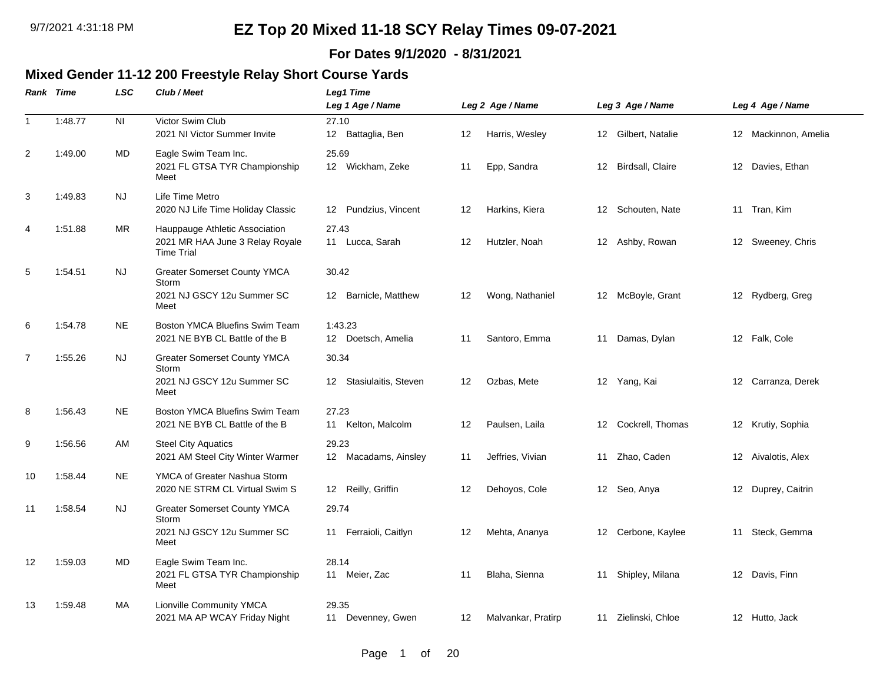### **For Dates 9/1/2020 - 8/31/2021**

### **Mixed Gender 11-12 200 Freestyle Relay Short Course Yards**

|                | Rank Time | <b>LSC</b>     | Club / Meet                                                                            | <b>Leg1 Time</b><br>Leg 1 Age / Name |    | Leg 2 Age / Name   |    | Leg 3 Age / Name    |                 | Leg 4 Age / Name     |
|----------------|-----------|----------------|----------------------------------------------------------------------------------------|--------------------------------------|----|--------------------|----|---------------------|-----------------|----------------------|
| $\mathbf{1}$   | 1:48.77   | N <sub>l</sub> | Victor Swim Club<br>2021 NI Victor Summer Invite                                       | 27.10<br>12 Battaglia, Ben           | 12 | Harris, Wesley     |    | 12 Gilbert, Natalie |                 | 12 Mackinnon, Amelia |
| $\overline{2}$ | 1:49.00   | MD             | Eagle Swim Team Inc.<br>2021 FL GTSA TYR Championship<br>Meet                          | 25.69<br>12 Wickham, Zeke            | 11 | Epp, Sandra        | 12 | Birdsall, Claire    | 12 <sup>°</sup> | Davies, Ethan        |
| 3              | 1:49.83   | NJ.            | Life Time Metro<br>2020 NJ Life Time Holiday Classic                                   | Pundzius, Vincent<br>12              | 12 | Harkins, Kiera     | 12 | Schouten, Nate      |                 | 11 Tran, Kim         |
| $\overline{4}$ | 1:51.88   | MR             | Hauppauge Athletic Association<br>2021 MR HAA June 3 Relay Royale<br><b>Time Trial</b> | 27.43<br>11 Lucca, Sarah             | 12 | Hutzler, Noah      |    | 12 Ashby, Rowan     |                 | 12 Sweeney, Chris    |
| 5              | 1:54.51   | <b>NJ</b>      | <b>Greater Somerset County YMCA</b><br>Storm<br>2021 NJ GSCY 12u Summer SC<br>Meet     | 30.42<br>Barnicle, Matthew<br>12     | 12 | Wong, Nathaniel    |    | 12 McBoyle, Grant   |                 | 12 Rydberg, Greg     |
| 6              | 1:54.78   | <b>NE</b>      | Boston YMCA Bluefins Swim Team<br>2021 NE BYB CL Battle of the B                       | 1:43.23<br>12 Doetsch, Amelia        | 11 | Santoro, Emma      | 11 | Damas, Dylan        |                 | 12 Falk, Cole        |
| $\overline{7}$ | 1:55.26   | <b>NJ</b>      | Greater Somerset County YMCA<br>Storm<br>2021 NJ GSCY 12u Summer SC<br>Meet            | 30.34<br>12 Stasiulaitis, Steven     | 12 | Ozbas, Mete        |    | 12 Yang, Kai        |                 | 12 Carranza, Derek   |
| 8              | 1:56.43   | <b>NE</b>      | Boston YMCA Bluefins Swim Team<br>2021 NE BYB CL Battle of the B                       | 27.23<br>Kelton, Malcolm<br>11       | 12 | Paulsen, Laila     | 12 | Cockrell, Thomas    |                 | 12 Krutiy, Sophia    |
| 9              | 1:56.56   | AM             | <b>Steel City Aquatics</b><br>2021 AM Steel City Winter Warmer                         | 29.23<br>12 Macadams, Ainsley        | 11 | Jeffries, Vivian   | 11 | Zhao, Caden         |                 | 12 Aivalotis, Alex   |
| 10             | 1:58.44   | <b>NE</b>      | YMCA of Greater Nashua Storm<br>2020 NE STRM CL Virtual Swim S                         | 12 Reilly, Griffin                   | 12 | Dehoyos, Cole      |    | 12 Seo, Anya        |                 | 12 Duprey, Caitrin   |
| 11             | 1:58.54   | <b>NJ</b>      | <b>Greater Somerset County YMCA</b><br>Storm<br>2021 NJ GSCY 12u Summer SC<br>Meet     | 29.74<br>Ferraioli, Caitlyn<br>11    | 12 | Mehta, Ananya      |    | 12 Cerbone, Kaylee  |                 | 11 Steck, Gemma      |
| 12             | 1:59.03   | MD             | Eagle Swim Team Inc.<br>2021 FL GTSA TYR Championship<br>Meet                          | 28.14<br>11 Meier, Zac               | 11 | Blaha, Sienna      | 11 | Shipley, Milana     |                 | 12 Davis, Finn       |
| 13             | 1:59.48   | MA             | <b>Lionville Community YMCA</b><br>2021 MA AP WCAY Friday Night                        | 29.35<br>11 Devenney, Gwen           | 12 | Malvankar, Pratirp |    | 11 Zielinski, Chloe |                 | 12 Hutto, Jack       |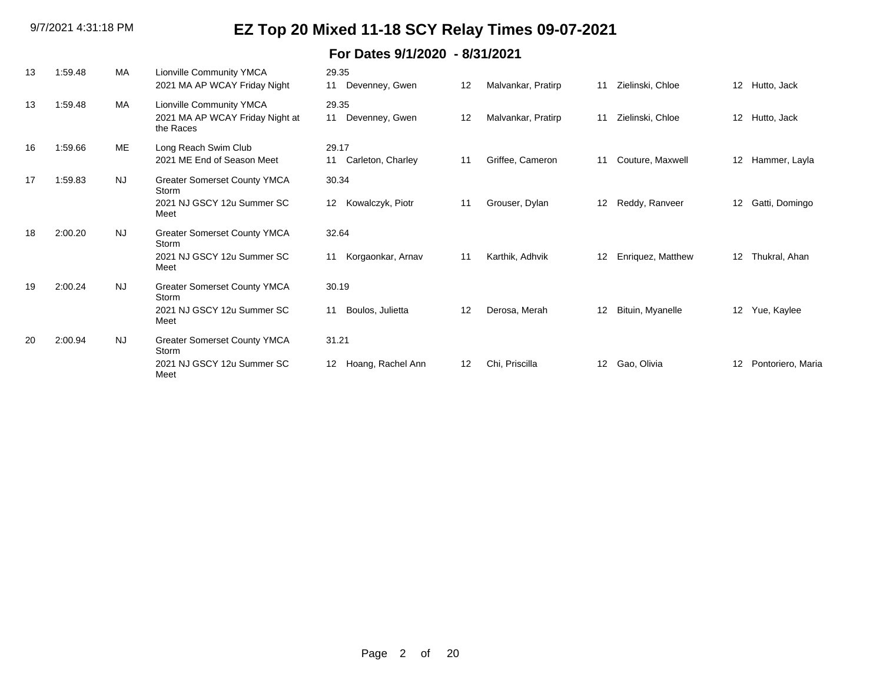| 13 | 1:59.48 | <b>MA</b> | <b>Lionville Community YMCA</b><br>2021 MA AP WCAY Friday Night                    | 29.35<br>Devenney, Gwen<br>11    | 12 | Malvankar, Pratirp | 11 | Zielinski, Chloe  | 12                | Hutto, Jack       |
|----|---------|-----------|------------------------------------------------------------------------------------|----------------------------------|----|--------------------|----|-------------------|-------------------|-------------------|
| 13 | 1:59.48 | MA        | Lionville Community YMCA<br>2021 MA AP WCAY Friday Night at<br>the Races           | 29.35<br>Devenney, Gwen<br>11    | 12 | Malvankar, Pratirp | 11 | Zielinski, Chloe  | 12                | Hutto, Jack       |
| 16 | 1:59.66 | ME        | Long Reach Swim Club<br>2021 ME End of Season Meet                                 | 29.17<br>Carleton, Charley<br>11 | 11 | Griffee, Cameron   | 11 | Couture, Maxwell  | 12                | Hammer, Layla     |
| 17 | 1:59.83 | <b>NJ</b> | <b>Greater Somerset County YMCA</b><br>Storm<br>2021 NJ GSCY 12u Summer SC<br>Meet | 30.34<br>Kowalczyk, Piotr<br>12  | 11 | Grouser, Dylan     | 12 | Reddy, Ranveer    | 12                | Gatti, Domingo    |
| 18 | 2:00.20 | <b>NJ</b> | <b>Greater Somerset County YMCA</b><br>Storm<br>2021 NJ GSCY 12u Summer SC<br>Meet | 32.64<br>Korgaonkar, Arnav<br>11 | 11 | Karthik, Adhvik    | 12 | Enriquez, Matthew | $12 \overline{ }$ | Thukral, Ahan     |
| 19 | 2:00.24 | <b>NJ</b> | <b>Greater Somerset County YMCA</b><br>Storm<br>2021 NJ GSCY 12u Summer SC<br>Meet | 30.19<br>Boulos, Julietta<br>11  | 12 | Derosa, Merah      | 12 | Bituin, Myanelle  | 12                | Yue, Kaylee       |
| 20 | 2:00.94 | <b>NJ</b> | <b>Greater Somerset County YMCA</b><br>Storm<br>2021 NJ GSCY 12u Summer SC<br>Meet | 31.21<br>Hoang, Rachel Ann<br>12 | 12 | Chi, Priscilla     | 12 | Gao, Olivia       | 12                | Pontoriero, Maria |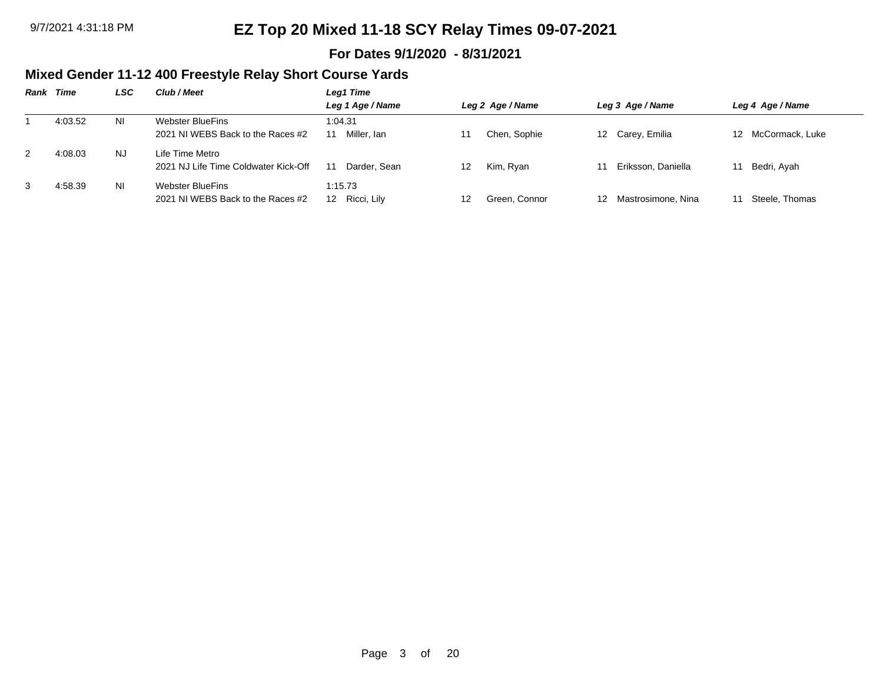### **For Dates 9/1/2020 - 8/31/2021**

## **Mixed Gender 11-12 400 Freestyle Relay Short Course Yards**

| Rank | Time    | LSC       | Club / Meet                                             | Leg1 Time                 |                     |                       |                    |
|------|---------|-----------|---------------------------------------------------------|---------------------------|---------------------|-----------------------|--------------------|
|      |         |           |                                                         | Leg 1 Age / Name          | Leg 2 Age / Name    | Leg 3 Age / Name      | Leg 4 Age / Name   |
|      | 4:03.52 | ΝI        | Webster BlueFins<br>2021 NJ WEBS Back to the Races #2   | 1:04.31<br>Miller, Ian    | Chen, Sophie        | 12 Carey, Emilia      | 12 McCormack, Luke |
| 2    | 4:08.03 | NJ.       | Life Time Metro<br>2021 NJ Life Time Coldwater Kick-Off | Darder, Sean              | Kim, Ryan<br>12     | Eriksson, Daniella    | Bedri, Ayah        |
| 3    | 4:58.39 | <b>NI</b> | Webster BlueFins<br>2021 NJ WEBS Back to the Races #2   | 1:15.73<br>12 Ricci, Lily | Green, Connor<br>12 | 12 Mastrosimone, Nina | Steele. Thomas     |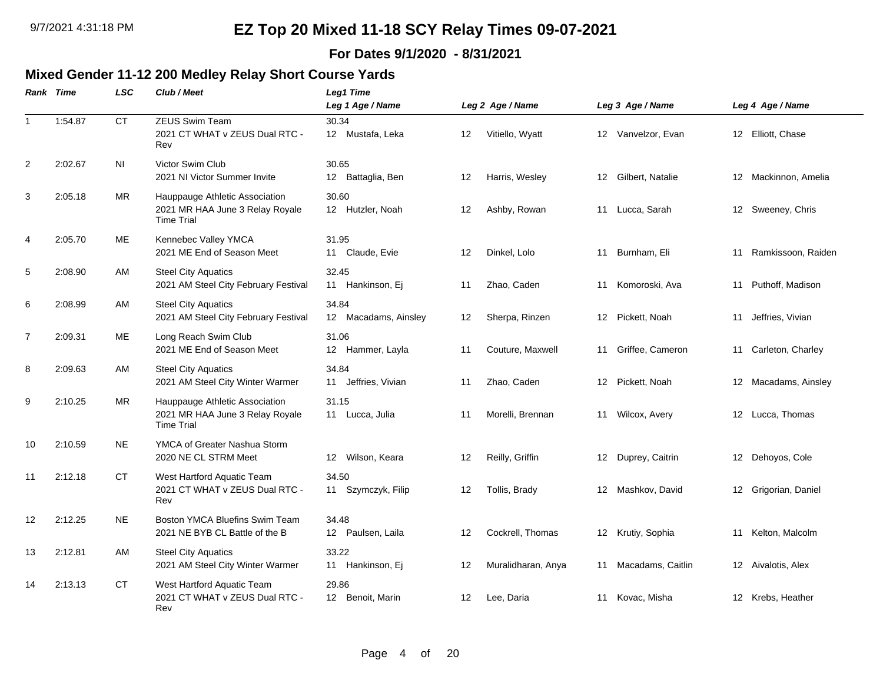### **For Dates 9/1/2020 - 8/31/2021**

### **Mixed Gender 11-12 200 Medley Relay Short Course Yards**

|                | Rank Time | LSC       | Club / Meet                                                                            | <b>Leg1 Time</b>                |    |                    |                   |                    |    |                      |
|----------------|-----------|-----------|----------------------------------------------------------------------------------------|---------------------------------|----|--------------------|-------------------|--------------------|----|----------------------|
|                |           |           |                                                                                        | Leg 1 Age / Name                |    | Leg 2 Age / Name   |                   | Leg 3 Age / Name   |    | Leg 4 Age / Name     |
|                | 1:54.87   | <b>CT</b> | <b>ZEUS Swim Team</b><br>2021 CT WHAT v ZEUS Dual RTC -<br>Rev                         | 30.34<br>12 Mustafa, Leka       | 12 | Vitiello, Wyatt    |                   | 12 Vanvelzor, Evan |    | 12 Elliott, Chase    |
| $\overline{2}$ | 2:02.67   | <b>NI</b> | Victor Swim Club<br>2021 NI Victor Summer Invite                                       | 30.65<br>12 Battaglia, Ben      | 12 | Harris, Wesley     | 12                | Gilbert, Natalie   | 12 | Mackinnon, Amelia    |
| 3              | 2:05.18   | <b>MR</b> | Hauppauge Athletic Association<br>2021 MR HAA June 3 Relay Royale<br><b>Time Trial</b> | 30.60<br>12 Hutzler, Noah       | 12 | Ashby, Rowan       |                   | 11 Lucca, Sarah    |    | 12 Sweeney, Chris    |
| $\overline{4}$ | 2:05.70   | ME        | Kennebec Valley YMCA<br>2021 ME End of Season Meet                                     | 31.95<br>11 Claude, Evie        | 12 | Dinkel, Lolo       | 11                | Burnham, Eli       | 11 | Ramkissoon, Raiden   |
| 5              | 2:08.90   | AM        | <b>Steel City Aquatics</b><br>2021 AM Steel City February Festival                     | 32.45<br>11 Hankinson, Ej       | 11 | Zhao, Caden        | 11                | Komoroski, Ava     | 11 | Puthoff, Madison     |
| 6              | 2:08.99   | AM        | <b>Steel City Aquatics</b><br>2021 AM Steel City February Festival                     | 34.84<br>12 Macadams, Ainsley   | 12 | Sherpa, Rinzen     | 12                | Pickett, Noah      | 11 | Jeffries, Vivian     |
| 7              | 2:09.31   | ME        | Long Reach Swim Club<br>2021 ME End of Season Meet                                     | 31.06<br>12 Hammer, Layla       | 11 | Couture, Maxwell   | 11                | Griffee, Cameron   |    | 11 Carleton, Charley |
| 8              | 2:09.63   | AM        | <b>Steel City Aquatics</b><br>2021 AM Steel City Winter Warmer                         | 34.84<br>Jeffries, Vivian<br>11 | 11 | Zhao, Caden        | 12                | Pickett, Noah      | 12 | Macadams, Ainsley    |
| 9              | 2:10.25   | <b>MR</b> | Hauppauge Athletic Association<br>2021 MR HAA June 3 Relay Royale<br><b>Time Trial</b> | 31.15<br>11 Lucca, Julia        | 11 | Morelli, Brennan   | 11                | Wilcox, Avery      |    | 12 Lucca, Thomas     |
| 10             | 2:10.59   | <b>NE</b> | YMCA of Greater Nashua Storm<br>2020 NE CL STRM Meet                                   | 12 Wilson, Keara                | 12 | Reilly, Griffin    |                   | 12 Duprey, Caitrin |    | 12 Dehoyos, Cole     |
| 11             | 2:12.18   | <b>CT</b> | West Hartford Aquatic Team<br>2021 CT WHAT v ZEUS Dual RTC -<br>Rev                    | 34.50<br>11 Szymczyk, Filip     | 12 | Tollis, Brady      | $12 \overline{ }$ | Mashkov, David     |    | 12 Grigorian, Daniel |
| 12             | 2:12.25   | <b>NE</b> | Boston YMCA Bluefins Swim Team<br>2021 NE BYB CL Battle of the B                       | 34.48<br>12 Paulsen, Laila      | 12 | Cockrell, Thomas   |                   | 12 Krutiy, Sophia  |    | 11 Kelton, Malcolm   |
| 13             | 2:12.81   | AM        | <b>Steel City Aquatics</b><br>2021 AM Steel City Winter Warmer                         | 33.22<br>11 Hankinson, Ej       | 12 | Muralidharan, Anya | 11                | Macadams, Caitlin  | 12 | Aivalotis, Alex      |
| 14             | 2:13.13   | СT        | West Hartford Aquatic Team<br>2021 CT WHAT v ZEUS Dual RTC -<br>Rev                    | 29.86<br>12 Benoit, Marin       | 12 | Lee, Daria         | 11                | Kovac, Misha       |    | 12 Krebs, Heather    |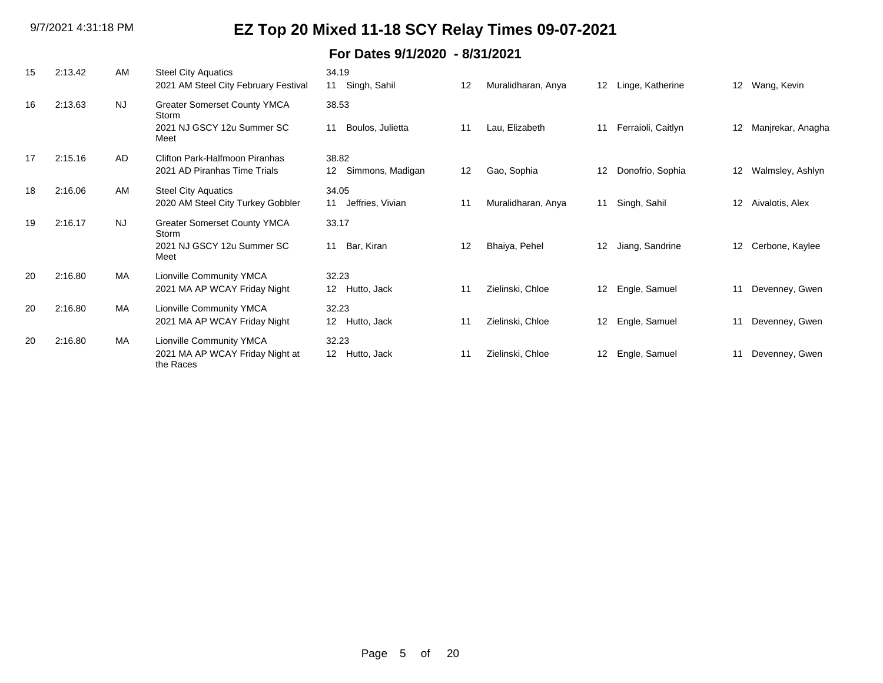| 15 | 2:13.42 | AM        | <b>Steel City Aquatics</b>                   | 34.19                  |    |                    |    |                    |                   |                   |
|----|---------|-----------|----------------------------------------------|------------------------|----|--------------------|----|--------------------|-------------------|-------------------|
|    |         |           | 2021 AM Steel City February Festival         | 11 Singh, Sahil        | 12 | Muralidharan, Anya | 12 | Linge, Katherine   | 12                | Wang, Kevin       |
| 16 | 2:13.63 | <b>NJ</b> | <b>Greater Somerset County YMCA</b><br>Storm | 38.53                  |    |                    |    |                    |                   |                   |
|    |         |           | 2021 NJ GSCY 12u Summer SC<br>Meet           | Boulos, Julietta<br>11 | 11 | Lau, Elizabeth     | 11 | Ferraioli, Caitlyn | 12                | Manjrekar, Anagha |
| 17 | 2:15.16 | AD.       | Clifton Park-Halfmoon Piranhas               | 38.82                  |    |                    |    |                    |                   |                   |
|    |         |           | 2021 AD Piranhas Time Trials                 | Simmons, Madigan<br>12 | 12 | Gao, Sophia        | 12 | Donofrio, Sophia   | 12                | Walmsley, Ashlyn  |
| 18 | 2:16.06 | AM        | <b>Steel City Aquatics</b>                   | 34.05                  |    |                    |    |                    |                   |                   |
|    |         |           | 2020 AM Steel City Turkey Gobbler            | Jeffries, Vivian<br>11 | 11 | Muralidharan, Anya | 11 | Singh, Sahil       | 12                | Aivalotis, Alex   |
| 19 | 2:16.17 | <b>NJ</b> | <b>Greater Somerset County YMCA</b><br>Storm | 33.17                  |    |                    |    |                    |                   |                   |
|    |         |           | 2021 NJ GSCY 12u Summer SC<br>Meet           | Bar, Kiran<br>11       | 12 | Bhaiya, Pehel      | 12 | Jiang, Sandrine    | $12 \overline{ }$ | Cerbone, Kaylee   |
| 20 | 2:16.80 | <b>MA</b> | Lionville Community YMCA                     | 32.23                  |    |                    |    |                    |                   |                   |
|    |         |           | 2021 MA AP WCAY Friday Night                 | 12 Hutto, Jack         | 11 | Zielinski, Chloe   | 12 | Engle, Samuel      | 11                | Devenney, Gwen    |
| 20 | 2:16.80 | <b>MA</b> | Lionville Community YMCA                     | 32.23                  |    |                    |    |                    |                   |                   |
|    |         |           | 2021 MA AP WCAY Friday Night                 | 12 Hutto, Jack         | 11 | Zielinski, Chloe   | 12 | Engle, Samuel      | 11                | Devenney, Gwen    |
| 20 | 2:16.80 | MA        | Lionville Community YMCA                     | 32.23                  |    |                    |    |                    |                   |                   |
|    |         |           | 2021 MA AP WCAY Friday Night at<br>the Races | 12 Hutto, Jack         | 11 | Zielinski, Chloe   | 12 | Engle, Samuel      | 11                | Devenney, Gwen    |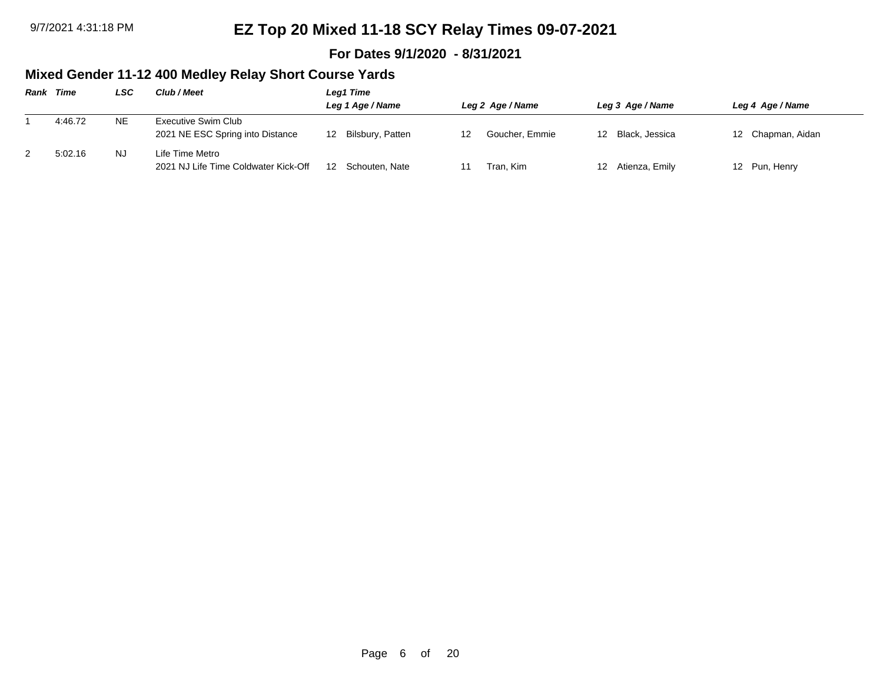### **For Dates 9/1/2020 - 8/31/2021**

## **Mixed Gender 11-12 400 Medley Relay Short Course Yards**

| Rank | Time    | LSC       | Club / Meet                                             | Leg1 Time              |                  |                       |                   |  |  |
|------|---------|-----------|---------------------------------------------------------|------------------------|------------------|-----------------------|-------------------|--|--|
|      |         |           |                                                         | Leg 1 Age / Name       | Leg 2 Age / Name | Leg 3 Age / Name      | Leg 4 Age / Name  |  |  |
|      | 4:46.72 | <b>NE</b> | Executive Swim Club<br>2021 NE ESC Spring into Distance | Bilsbury, Patten<br>12 | Goucher, Emmie   | Black. Jessica<br>12. | 12 Chapman, Aidan |  |  |
|      | 5:02.16 | NJ.       | Life Time Metro<br>2021 NJ Life Time Coldwater Kick-Off | Schouten, Nate<br>12   | Tran. Kim        | 12 Atienza, Emily     | 12 Pun, Henry     |  |  |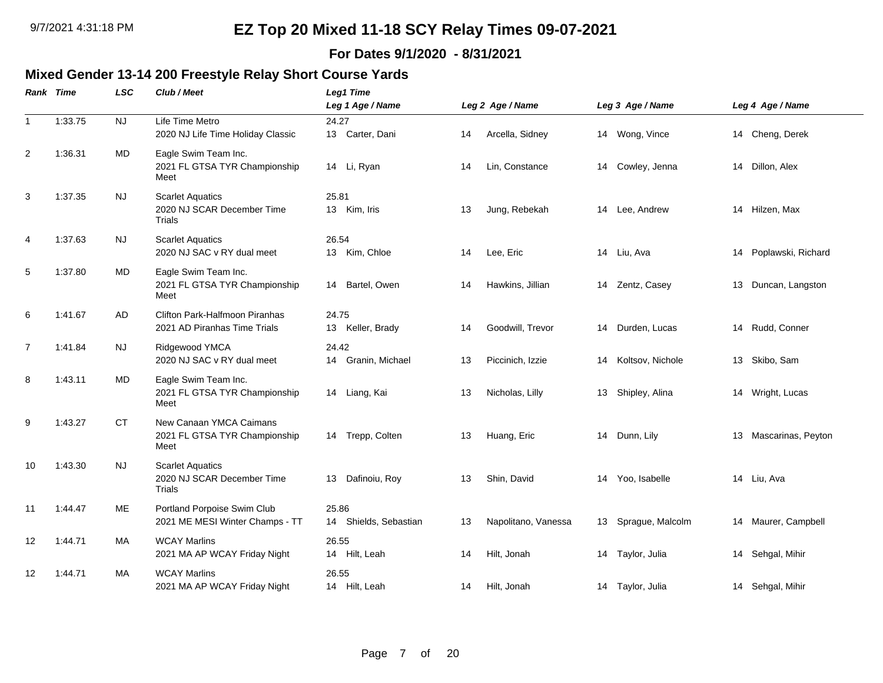### **For Dates 9/1/2020 - 8/31/2021**

## **Mixed Gender 13-14 200 Freestyle Relay Short Course Yards**

|                | Rank Time | <b>LSC</b> | Club / Meet                                                      | <b>Leg1 Time</b>                  |    |                     |    |                  |    |                       |
|----------------|-----------|------------|------------------------------------------------------------------|-----------------------------------|----|---------------------|----|------------------|----|-----------------------|
|                |           |            |                                                                  | Leg 1 Age / Name                  |    | Leg 2 Age / Name    |    | Leg 3 Age / Name |    | Leg 4 Age / Name      |
| $\overline{1}$ | 1:33.75   | <b>NJ</b>  | Life Time Metro<br>2020 NJ Life Time Holiday Classic             | 24.27<br>13 Carter, Dani          | 14 | Arcella, Sidney     |    | 14 Wong, Vince   |    | 14 Cheng, Derek       |
| 2              | 1:36.31   | MD         | Eagle Swim Team Inc.<br>2021 FL GTSA TYR Championship<br>Meet    | 14 Li, Ryan                       | 14 | Lin, Constance      | 14 | Cowley, Jenna    |    | 14 Dillon, Alex       |
| 3              | 1:37.35   | NJ.        | <b>Scarlet Aquatics</b><br>2020 NJ SCAR December Time<br>Trials  | 25.81<br>13 Kim, Iris             | 13 | Jung, Rebekah       | 14 | Lee, Andrew      |    | 14 Hilzen, Max        |
| $\overline{4}$ | 1:37.63   | <b>NJ</b>  | <b>Scarlet Aquatics</b><br>2020 NJ SAC v RY dual meet            | 26.54<br>13 Kim, Chloe            | 14 | Lee, Eric           | 14 | Liu, Ava         | 14 | Poplawski, Richard    |
| 5              | 1:37.80   | MD         | Eagle Swim Team Inc.<br>2021 FL GTSA TYR Championship<br>Meet    | Bartel, Owen<br>14                | 14 | Hawkins, Jillian    | 14 | Zentz, Casey     | 13 | Duncan, Langston      |
| 6              | 1:41.67   | AD         | Clifton Park-Halfmoon Piranhas<br>2021 AD Piranhas Time Trials   | 24.75<br>13 Keller, Brady         | 14 | Goodwill, Trevor    | 14 | Durden, Lucas    |    | 14 Rudd, Conner       |
| 7              | 1:41.84   | <b>NJ</b>  | Ridgewood YMCA<br>2020 NJ SAC v RY dual meet                     | 24.42<br>Granin, Michael<br>14    | 13 | Piccinich, Izzie    | 14 | Koltsov, Nichole | 13 | Skibo, Sam            |
| 8              | 1:43.11   | MD         | Eagle Swim Team Inc.<br>2021 FL GTSA TYR Championship<br>Meet    | 14 Liang, Kai                     | 13 | Nicholas, Lilly     | 13 | Shipley, Alina   |    | 14 Wright, Lucas      |
| 9              | 1:43.27   | <b>CT</b>  | New Canaan YMCA Caimans<br>2021 FL GTSA TYR Championship<br>Meet | 14 Trepp, Colten                  | 13 | Huang, Eric         | 14 | Dunn, Lily       |    | 13 Mascarinas, Peyton |
| 10             | 1:43.30   | <b>NJ</b>  | <b>Scarlet Aquatics</b><br>2020 NJ SCAR December Time<br>Trials  | Dafinoiu, Roy<br>13               | 13 | Shin, David         | 14 | Yoo, Isabelle    |    | 14 Liu, Ava           |
| 11             | 1:44.47   | ME         | Portland Porpoise Swim Club<br>2021 ME MESI Winter Champs - TT   | 25.86<br>Shields, Sebastian<br>14 | 13 | Napolitano, Vanessa | 13 | Sprague, Malcolm | 14 | Maurer, Campbell      |
| 12             | 1:44.71   | MA         | <b>WCAY Marlins</b><br>2021 MA AP WCAY Friday Night              | 26.55<br>14 Hilt, Leah            | 14 | Hilt, Jonah         | 14 | Taylor, Julia    |    | 14 Sehgal, Mihir      |
| 12             | 1:44.71   | MA         | <b>WCAY Marlins</b><br>2021 MA AP WCAY Friday Night              | 26.55<br>14 Hilt, Leah            | 14 | Hilt, Jonah         |    | 14 Taylor, Julia |    | 14 Sehgal, Mihir      |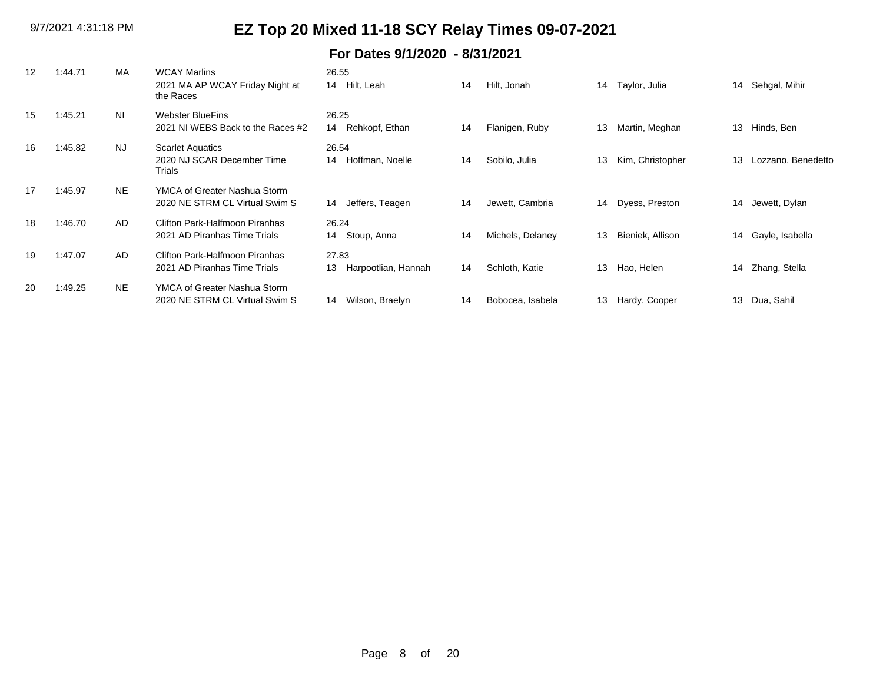| 12 | 1:44.71 | MA        | <b>WCAY Marlins</b>                          | 26.55                     |    |                  |    |                  |    |                    |
|----|---------|-----------|----------------------------------------------|---------------------------|----|------------------|----|------------------|----|--------------------|
|    |         |           | 2021 MA AP WCAY Friday Night at<br>the Races | 14 Hilt, Leah             | 14 | Hilt, Jonah      | 14 | Taylor, Julia    | 14 | Sehgal, Mihir      |
| 15 | 1:45.21 | <b>NI</b> | <b>Webster BlueFins</b>                      | 26.25                     |    |                  |    |                  |    |                    |
|    |         |           | 2021 NI WEBS Back to the Races #2            | Rehkopf, Ethan<br>14      | 14 | Flanigen, Ruby   | 13 | Martin, Meghan   | 13 | Hinds, Ben         |
| 16 | 1:45.82 | <b>NJ</b> | <b>Scarlet Aquatics</b>                      | 26.54                     |    |                  |    |                  |    |                    |
|    |         |           | 2020 NJ SCAR December Time<br>Trials         | Hoffman, Noelle<br>14     | 14 | Sobilo, Julia    | 13 | Kim, Christopher | 13 | Lozzano, Benedetto |
| 17 | 1:45.97 | <b>NE</b> | YMCA of Greater Nashua Storm                 |                           |    |                  |    |                  |    |                    |
|    |         |           | 2020 NE STRM CL Virtual Swim S               | Jeffers, Teagen<br>14     | 14 | Jewett, Cambria  | 14 | Dyess, Preston   | 14 | Jewett, Dylan      |
| 18 | 1:46.70 | AD.       | Clifton Park-Halfmoon Piranhas               | 26.24                     |    |                  |    |                  |    |                    |
|    |         |           | 2021 AD Piranhas Time Trials                 | Stoup, Anna<br>14         | 14 | Michels, Delaney | 13 | Bieniek, Allison | 14 | Gayle, Isabella    |
| 19 | 1:47.07 | AD.       | Clifton Park-Halfmoon Piranhas               | 27.83                     |    |                  |    |                  |    |                    |
|    |         |           | 2021 AD Piranhas Time Trials                 | Harpootlian, Hannah<br>13 | 14 | Schloth, Katie   | 13 | Hao, Helen       | 14 | Zhang, Stella      |
| 20 | 1:49.25 | <b>NE</b> | YMCA of Greater Nashua Storm                 |                           |    |                  |    |                  |    |                    |
|    |         |           | 2020 NE STRM CL Virtual Swim S               | Wilson, Braelyn<br>14     | 14 | Bobocea, Isabela | 13 | Hardy, Cooper    | 13 | Dua, Sahil         |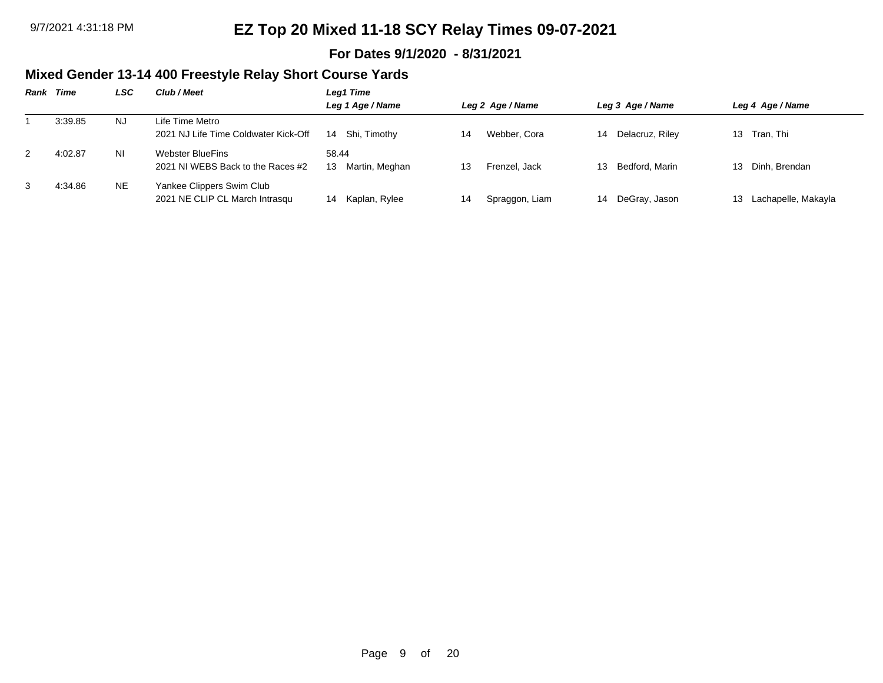### **For Dates 9/1/2020 - 8/31/2021**

## **Mixed Gender 13-14 400 Freestyle Relay Short Course Yards**

| Rank | Time    | LSC | Club / Meet                          | Leg1 Time          |    |                  |    |                  |    |                     |
|------|---------|-----|--------------------------------------|--------------------|----|------------------|----|------------------|----|---------------------|
|      |         |     |                                      | Leg 1 Age / Name   |    | Leg 2 Age / Name |    | Leg 3 Age / Name |    | Leg 4 Age / Name    |
|      | 3:39.85 | NJ. | Life Time Metro                      |                    |    |                  |    |                  |    |                     |
|      |         |     | 2021 NJ Life Time Coldwater Kick-Off | Shi, Timothy<br>14 | 14 | Webber, Cora     | 14 | Delacruz, Riley  |    | 13 Tran, Thi        |
| 2    | 4:02.87 | ΝI  | Webster BlueFins                     | 58.44              |    |                  |    |                  |    |                     |
|      |         |     | 2021 NJ WEBS Back to the Races #2    | Martin, Meghan     | 13 | Frenzel, Jack    | 13 | Bedford, Marin   | 13 | Dinh. Brendan       |
| 3    | 4:34.86 | NE. | Yankee Clippers Swim Club            |                    |    |                  |    |                  |    |                     |
|      |         |     | 2021 NE CLIP CL March Intrasqu       | 14 Kaplan, Rylee   | 14 | Spraggon, Liam   |    | 14 DeGray, Jason | 13 | Lachapelle, Makayla |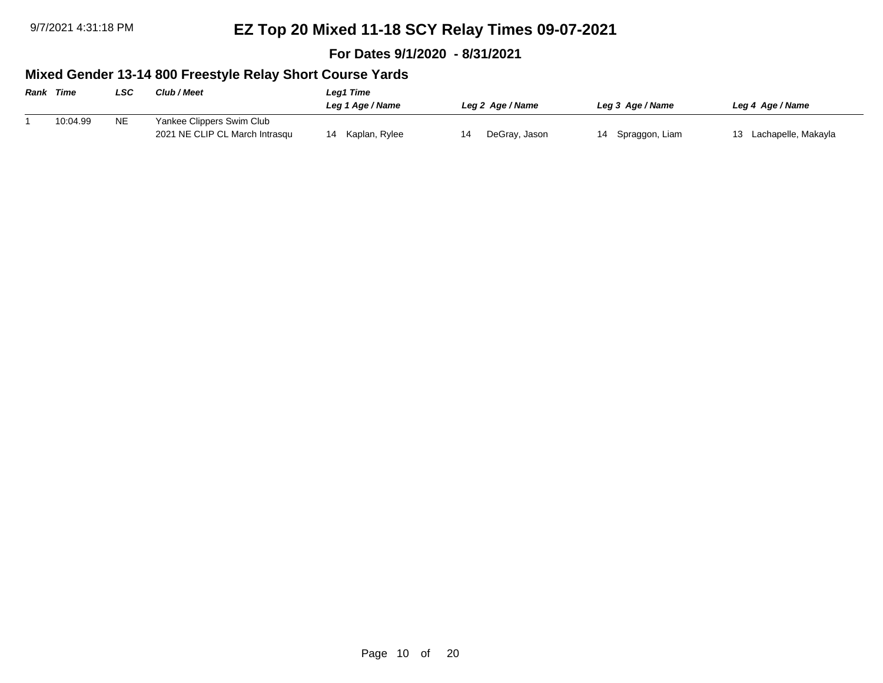**For Dates 9/1/2020 - 8/31/2021**

## **Mixed Gender 13-14 800 Freestyle Relay Short Course Yards**

| <b>Rank Time</b> |          | LSC       | Club / Meet                                                 | Leg1 Time           |                  |                      |                        |  |  |  |  |  |  |
|------------------|----------|-----------|-------------------------------------------------------------|---------------------|------------------|----------------------|------------------------|--|--|--|--|--|--|
|                  |          |           |                                                             | Leg 1 Age / Name    | Leg 2 Age / Name | Leg 3 Age / Name     | Leg 4 Age / Name       |  |  |  |  |  |  |
|                  | 10:04.99 | <b>NE</b> | Yankee Clippers Swim Club<br>2021 NE CLIP CL March Intrasqu | Kaplan, Rylee<br>14 | DeGray, Jason    | Spraggon, Liam<br>14 | 13 Lachapelle, Makayla |  |  |  |  |  |  |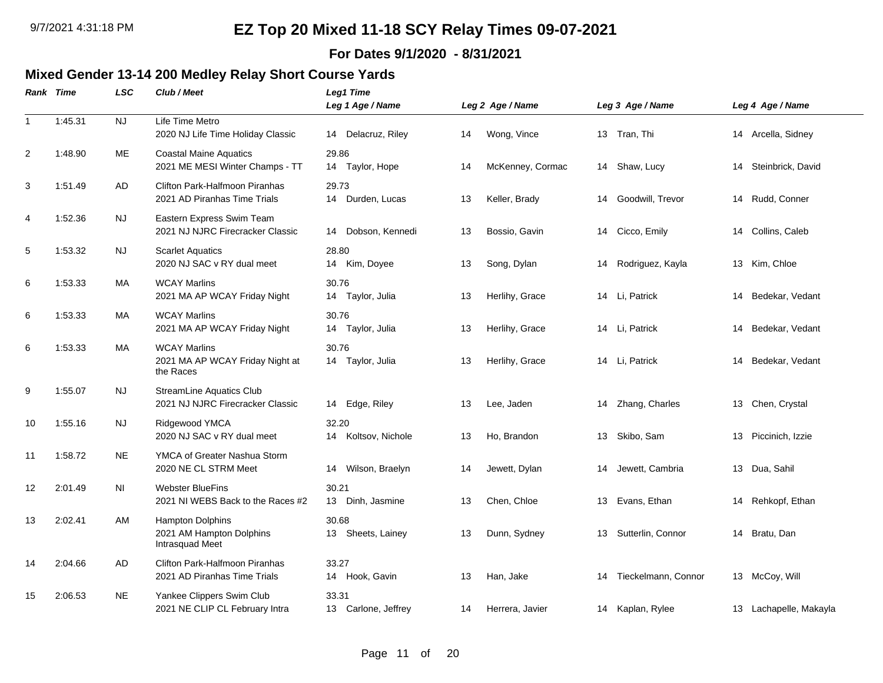### **For Dates 9/1/2020 - 8/31/2021**

## **Mixed Gender 13-14 200 Medley Relay Short Course Yards**

|                | Rank Time | LSC       | Club / Meet                                                         | <b>Leg1 Time</b><br>Leg 1 Age / Name |    | Leg 2 Age / Name |    | Leg 3 Age / Name    |    | Leg 4 Age / Name       |
|----------------|-----------|-----------|---------------------------------------------------------------------|--------------------------------------|----|------------------|----|---------------------|----|------------------------|
| $\mathbf{1}$   | 1:45.31   | <b>NJ</b> | Life Time Metro<br>2020 NJ Life Time Holiday Classic                | 14 Delacruz, Riley                   | 14 | Wong, Vince      |    | 13 Tran, Thi        |    | 14 Arcella, Sidney     |
| $\overline{2}$ | 1:48.90   | ME        | <b>Coastal Maine Aquatics</b><br>2021 ME MESI Winter Champs - TT    | 29.86<br>14 Taylor, Hope             | 14 | McKenney, Cormac | 14 | Shaw, Lucy          | 14 | Steinbrick, David      |
| 3              | 1:51.49   | AD        | Clifton Park-Halfmoon Piranhas<br>2021 AD Piranhas Time Trials      | 29.73<br>14 Durden, Lucas            | 13 | Keller, Brady    | 14 | Goodwill, Trevor    | 14 | Rudd, Conner           |
| 4              | 1:52.36   | NJ        | Eastern Express Swim Team<br>2021 NJ NJRC Firecracker Classic       | Dobson, Kennedi<br>14                | 13 | Bossio, Gavin    | 14 | Cicco, Emily        | 14 | Collins, Caleb         |
| 5              | 1:53.32   | <b>NJ</b> | <b>Scarlet Aquatics</b><br>2020 NJ SAC v RY dual meet               | 28.80<br>14 Kim, Doyee               | 13 | Song, Dylan      | 14 | Rodriguez, Kayla    | 13 | Kim, Chloe             |
| 6              | 1:53.33   | MA        | <b>WCAY Marlins</b><br>2021 MA AP WCAY Friday Night                 | 30.76<br>14 Taylor, Julia            | 13 | Herlihy, Grace   | 14 | Li, Patrick         | 14 | Bedekar, Vedant        |
| 6              | 1:53.33   | МA        | <b>WCAY Marlins</b><br>2021 MA AP WCAY Friday Night                 | 30.76<br>14 Taylor, Julia            | 13 | Herlihy, Grace   | 14 | Li, Patrick         | 14 | Bedekar, Vedant        |
| 6              | 1:53.33   | <b>MA</b> | <b>WCAY Marlins</b><br>2021 MA AP WCAY Friday Night at<br>the Races | 30.76<br>14 Taylor, Julia            | 13 | Herlihy, Grace   | 14 | Li, Patrick         | 14 | Bedekar, Vedant        |
| 9              | 1:55.07   | <b>NJ</b> | <b>StreamLine Aquatics Club</b><br>2021 NJ NJRC Firecracker Classic | 14 Edge, Riley                       | 13 | Lee, Jaden       | 14 | Zhang, Charles      | 13 | Chen, Crystal          |
| 10             | 1:55.16   | <b>NJ</b> | Ridgewood YMCA<br>2020 NJ SAC v RY dual meet                        | 32.20<br>14 Koltsov, Nichole         | 13 | Ho, Brandon      | 13 | Skibo, Sam          | 13 | Piccinich, Izzie       |
| 11             | 1:58.72   | <b>NE</b> | YMCA of Greater Nashua Storm<br>2020 NE CL STRM Meet                | Wilson, Braelyn<br>14                | 14 | Jewett, Dylan    | 14 | Jewett, Cambria     | 13 | Dua, Sahil             |
| 12             | 2:01.49   | NI        | <b>Webster BlueFins</b><br>2021 NI WEBS Back to the Races #2        | 30.21<br>13 Dinh, Jasmine            | 13 | Chen, Chloe      | 13 | Evans, Ethan        | 14 | Rehkopf, Ethan         |
| 13             | 2:02.41   | AM        | Hampton Dolphins<br>2021 AM Hampton Dolphins<br>Intrasquad Meet     | 30.68<br>13 Sheets, Lainey           | 13 | Dunn, Sydney     | 13 | Sutterlin, Connor   | 14 | Bratu, Dan             |
| 14             | 2:04.66   | AD        | Clifton Park-Halfmoon Piranhas<br>2021 AD Piranhas Time Trials      | 33.27<br>14 Hook, Gavin              | 13 | Han, Jake        | 14 | Tieckelmann, Connor |    | 13 McCoy, Will         |
| 15             | 2:06.53   | <b>NE</b> | Yankee Clippers Swim Club<br>2021 NE CLIP CL February Intra         | 33.31<br>13 Carlone, Jeffrey         | 14 | Herrera, Javier  |    | 14 Kaplan, Rylee    |    | 13 Lachapelle, Makayla |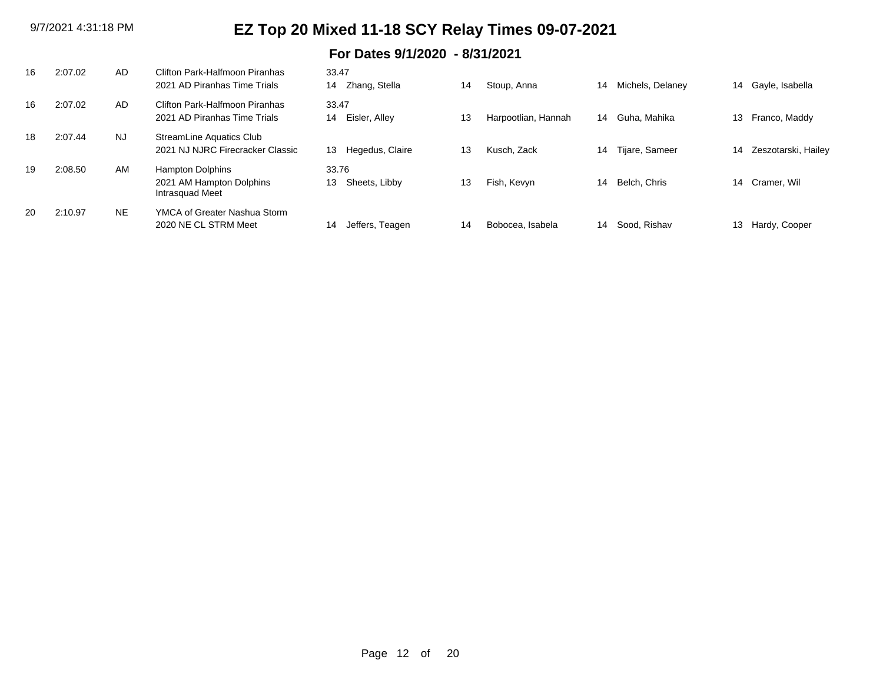| 16 | 2:07.02 | AD        | Clifton Park-Halfmoon Piranhas<br>2021 AD Piranhas Time Trials         | 33.47<br>Zhang, Stella<br>14 | 14 | Stoup, Anna         | 14 | Michels, Delaney | 14 | Gayle, Isabella     |
|----|---------|-----------|------------------------------------------------------------------------|------------------------------|----|---------------------|----|------------------|----|---------------------|
| 16 | 2:07.02 | AD.       | Clifton Park-Halfmoon Piranhas<br>2021 AD Piranhas Time Trials         | 33.47<br>Eisler, Alley<br>14 | 13 | Harpootlian, Hannah | 14 | Guha, Mahika     | 13 | Franco, Maddy       |
| 18 | 2:07.44 | <b>NJ</b> | StreamLine Aquatics Club<br>2021 NJ NJRC Firecracker Classic           | Hegedus, Claire<br>13        | 13 | Kusch, Zack         | 14 | Tijare, Sameer   | 14 | Zeszotarski, Hailey |
| 19 | 2:08.50 | <b>AM</b> | <b>Hampton Dolphins</b><br>2021 AM Hampton Dolphins<br>Intrasquad Meet | 33.76<br>Sheets, Libby<br>13 | 13 | Fish, Kevyn         | 14 | Belch, Chris     | 14 | Cramer, Wil         |
| 20 | 2:10.97 | <b>NE</b> | YMCA of Greater Nashua Storm<br>2020 NE CL STRM Meet                   | 14<br>Jeffers, Teagen        | 14 | Bobocea, Isabela    | 14 | Sood, Rishav     | 13 | Hardy, Cooper       |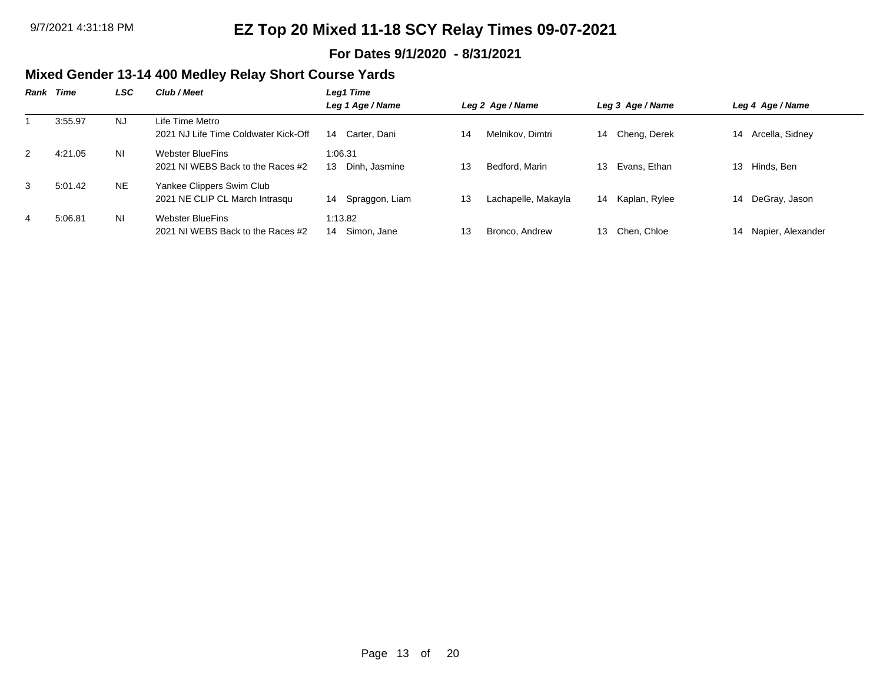### **For Dates 9/1/2020 - 8/31/2021**

## **Mixed Gender 13-14 400 Medley Relay Short Course Yards**

| Rank | Time    | LSC            | Club / Meet                                                 | Leg1 Time                      |    |                     |    |                  |    |                   |
|------|---------|----------------|-------------------------------------------------------------|--------------------------------|----|---------------------|----|------------------|----|-------------------|
|      |         |                |                                                             | Leg 1 Age / Name               |    | Leg 2 Age / Name    |    | Leg 3 Age / Name |    | Leg 4 Age / Name  |
|      | 3:55.97 | NJ.            | Life Time Metro<br>2021 NJ Life Time Coldwater Kick-Off     | Carter, Dani<br>14             | 14 | Melnikov, Dimtri    | 14 | Cheng, Derek     | 14 | Arcella, Sidney   |
| 2    | 4:21.05 | <b>NI</b>      | Webster BlueFins<br>2021 NJ WEBS Back to the Races #2       | 1:06.31<br>Dinh, Jasmine<br>13 | 13 | Bedford, Marin      | 13 | Evans, Ethan     | 13 | Hinds, Ben        |
| 3    | 5:01.42 | NE.            | Yankee Clippers Swim Club<br>2021 NE CLIP CL March Intrasqu | Spraggon, Liam<br>14           | 13 | Lachapelle, Makayla | 14 | Kaplan, Rylee    | 14 | DeGray, Jason     |
| 4    | 5:06.81 | N <sub>1</sub> | Webster BlueFins<br>2021 NJ WEBS Back to the Races #2       | 1:13.82<br>Simon, Jane<br>14   | 13 | Bronco, Andrew      | 13 | Chen. Chloe      | 14 | Napier, Alexander |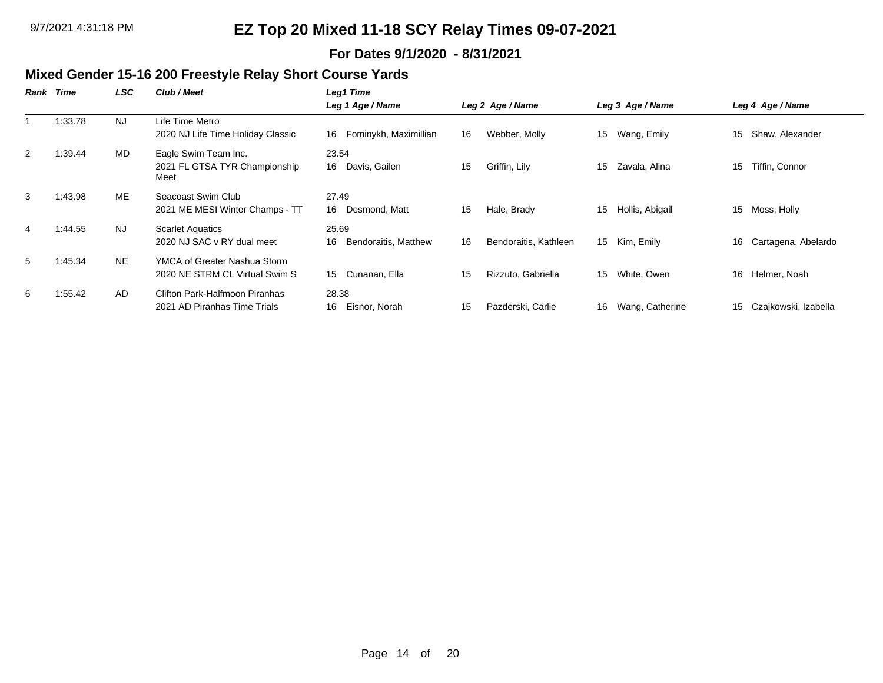### **For Dates 9/1/2020 - 8/31/2021**

## **Mixed Gender 15-16 200 Freestyle Relay Short Course Yards**

| Rank | Time    | LSC       | Club / Meet                           | Leg1 Time                   |    |                       |    |                  |    |                      |
|------|---------|-----------|---------------------------------------|-----------------------------|----|-----------------------|----|------------------|----|----------------------|
|      |         |           |                                       | Leg 1 Age / Name            |    | Leg 2 Age / Name      |    | Leg 3 Age / Name |    | Leg 4 Age / Name     |
|      | 1:33.78 | NJ.       | ∟ife Time Metro                       |                             |    |                       |    |                  |    |                      |
|      |         |           | 2020 NJ Life Time Holiday Classic     | Fominykh, Maximillian<br>16 | 16 | Webber, Molly         | 15 | Wang, Emily      | 15 | Shaw, Alexander      |
| 2    | 1:39.44 | MD        | Eagle Swim Team Inc.                  | 23.54                       |    |                       |    |                  |    |                      |
|      |         |           | 2021 FL GTSA TYR Championship<br>Meet | 16<br>Davis, Gailen         | 15 | Griffin, Lily         | 15 | Zavala, Alina    | 15 | Tiffin, Connor       |
| 3    | 1:43.98 | ME        | Seacoast Swim Club                    | 27.49                       |    |                       |    |                  |    |                      |
|      |         |           | 2021 ME MESI Winter Champs - TT       | Desmond, Matt<br>16         | 15 | Hale, Brady           | 15 | Hollis, Abigail  | 15 | Moss, Holly          |
| 4    | 1:44.55 | <b>NJ</b> | <b>Scarlet Aquatics</b>               | 25.69                       |    |                       |    |                  |    |                      |
|      |         |           | 2020 NJ SAC v RY dual meet            | Bendoraitis, Matthew<br>16  | 16 | Bendoraitis, Kathleen |    | 15 Kim, Emily    | 16 | Cartagena, Abelardo  |
| 5    | 1:45.34 | NE.       | YMCA of Greater Nashua Storm          |                             |    |                       |    |                  |    |                      |
|      |         |           | 2020 NE STRM CL Virtual Swim S        | Cunanan, Ella<br>15         | 15 | Rizzuto, Gabriella    | 15 | White, Owen      | 16 | Helmer, Noah         |
| 6    | 1:55.42 | AD.       | Clifton Park-Halfmoon Piranhas        | 28.38                       |    |                       |    |                  |    |                      |
|      |         |           | 2021 AD Piranhas Time Trials          | Eisnor, Norah<br>16         | 15 | Pazderski, Carlie     | 16 | Wang, Catherine  | 15 | Czajkowski, Izabella |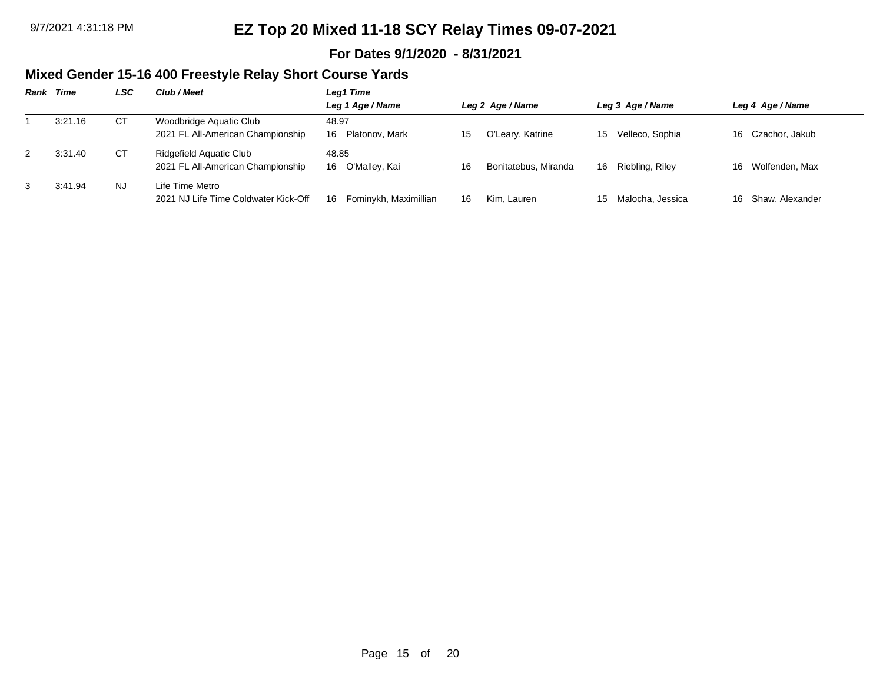### **For Dates 9/1/2020 - 8/31/2021**

## **Mixed Gender 15-16 400 Freestyle Relay Short Course Yards**

| <b>Rank Time</b> | LSC | Club / Meet                                                  | Leg1 Time                     |     |                      |     |                  |     |                   |
|------------------|-----|--------------------------------------------------------------|-------------------------------|-----|----------------------|-----|------------------|-----|-------------------|
|                  |     |                                                              | Leg 1 Age / Name              |     | Leg 2 Age / Name     |     | Leg 3 Age / Name |     | Leg 4 Age / Name  |
| 3:21.16          | CТ  | Woodbridge Aquatic Club<br>2021 FL All-American Championship | 48.97<br>Platonov, Mark<br>16 | 15. | O'Leary, Katrine     | 15  | Velleco, Sophia  |     | 16 Czachor, Jakub |
| 3:31.40          | СT  | Ridgefield Aquatic Club<br>2021 FL All-American Championship | 48.85<br>O'Malley, Kai<br>16  | 16  | Bonitatebus, Miranda | 16. | Riebling, Riley  |     | 16 Wolfenden, Max |
| 3:41.94          | NJ. | Life Time Metro<br>2021 NJ Life Time Coldwater Kick-Off      | Fominykh, Maximillian<br>16   | 16  | Kim. Lauren          | 15  | Malocha, Jessica | 16. | Shaw. Alexander   |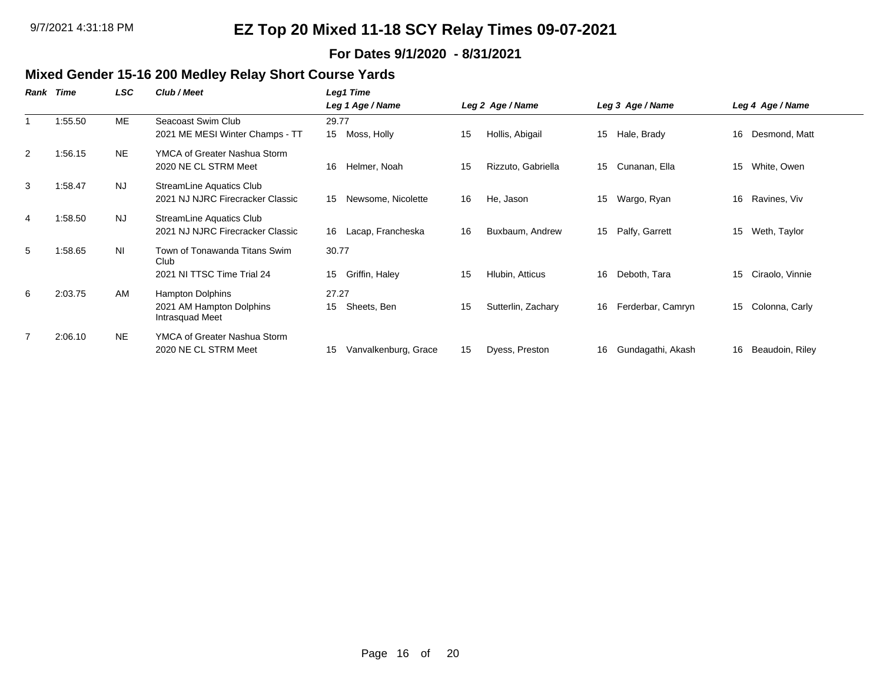### **For Dates 9/1/2020 - 8/31/2021**

#### **Mixed Gender 15-16 200 Medley Relay Short Course Yards**

| Rank | Time    | LSC            | Club / Meet                                                         | Leg1 Time                     |    |                    |    |                   |    |                  |
|------|---------|----------------|---------------------------------------------------------------------|-------------------------------|----|--------------------|----|-------------------|----|------------------|
|      |         |                |                                                                     | Leg 1 Age / Name              |    | Leg 2 Age / Name   |    | Leg 3 Age / Name  |    | Leg 4 Age / Name |
|      | 1:55.50 | ME             | Seacoast Swim Club<br>2021 ME MESI Winter Champs - TT               | 29.77<br>15<br>Moss, Holly    | 15 | Hollis, Abigail    | 15 | Hale, Brady       | 16 | Desmond, Matt    |
| 2    | 1:56.15 | NE.            | YMCA of Greater Nashua Storm<br>2020 NE CL STRM Meet                | Helmer, Noah<br>16            | 15 | Rizzuto, Gabriella | 15 | Cunanan, Ella     | 15 | White, Owen      |
| 3    | 1:58.47 | <b>NJ</b>      | StreamLine Aquatics Club<br>2021 NJ NJRC Firecracker Classic        | Newsome, Nicolette<br>15      | 16 | He, Jason          | 15 | Wargo, Ryan       | 16 | Ravines, Viv     |
| 4    | 1:58.50 | <b>NJ</b>      | StreamLine Aquatics Club<br>2021 NJ NJRC Firecracker Classic        | Lacap, Francheska<br>16       | 16 | Buxbaum, Andrew    | 15 | Palfy, Garrett    | 15 | Weth, Taylor     |
| 5    | 1:58.65 | N <sub>l</sub> | Town of Tonawanda Titans Swim<br>Club<br>2021 NI TTSC Time Trial 24 | 30.77<br>Griffin, Haley<br>15 | 15 | Hlubin, Atticus    | 16 | Deboth, Tara      | 15 | Ciraolo, Vinnie  |
| 6    | 2:03.75 | AM             | Hampton Dolphins<br>2021 AM Hampton Dolphins<br>Intrasquad Meet     | 27.27<br>Sheets, Ben<br>15    | 15 | Sutterlin, Zachary | 16 | Ferderbar, Camryn | 15 | Colonna, Carly   |
|      | 2:06.10 | <b>NE</b>      | YMCA of Greater Nashua Storm<br>2020 NE CL STRM Meet                | Vanvalkenburg, Grace<br>15    | 15 | Dyess, Preston     | 16 | Gundagathi, Akash | 16 | Beaudoin, Riley  |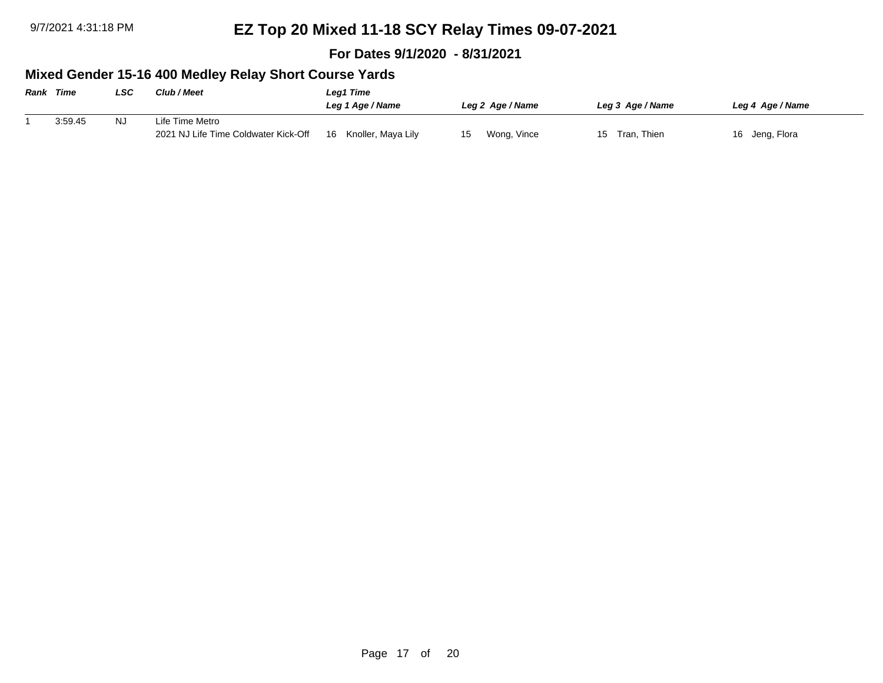**For Dates 9/1/2020 - 8/31/2021**

## **Mixed Gender 15-16 400 Medley Relay Short Course Yards**

| <b>Rank Time</b> |         | LSC | <b>Club / Meet</b>                   | Leg1 Time                |                   |                   |                  |  |  |
|------------------|---------|-----|--------------------------------------|--------------------------|-------------------|-------------------|------------------|--|--|
|                  |         |     |                                      | Leg 1 Age / Name         | Leg 2 Age / Name  | Leg 3 Age / Name  | Leg 4 Age / Name |  |  |
|                  | 3:59.45 | NJ  | Life Time Metro                      |                          |                   |                   |                  |  |  |
|                  |         |     | 2021 NJ Life Time Coldwater Kick-Off | Knoller, Maya Lily<br>16 | Wong, Vince<br>15 | Tran, Thien<br>15 | 16 Jeng, Flora   |  |  |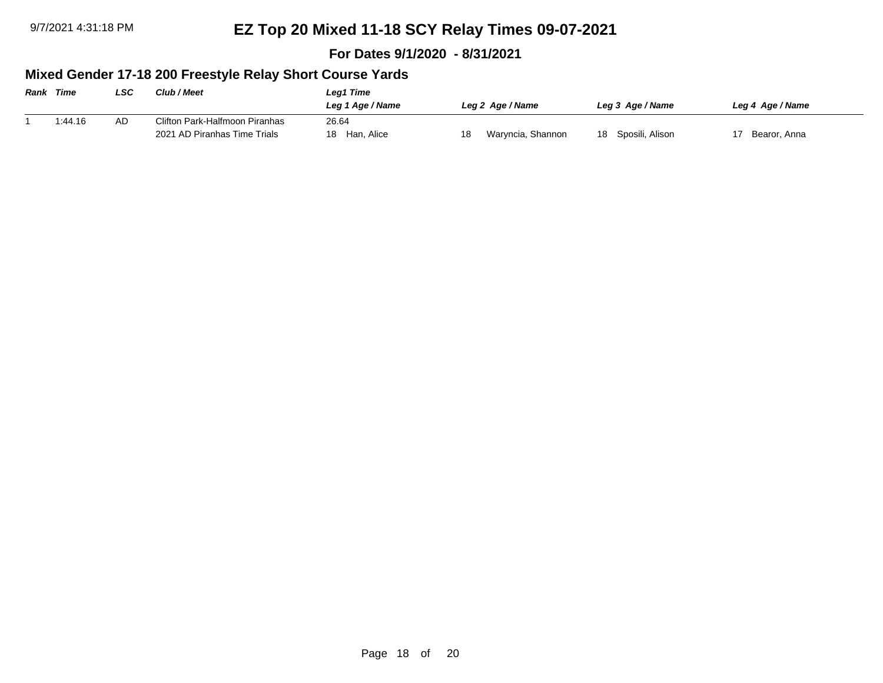**For Dates 9/1/2020 - 8/31/2021**

## **Mixed Gender 17-18 200 Freestyle Relay Short Course Yards**

| <b>Rank Time</b> |         | LSC | <b>Club / Meet</b>             | Leg1 Time        |    |                   |                    |  |                  |  |
|------------------|---------|-----|--------------------------------|------------------|----|-------------------|--------------------|--|------------------|--|
|                  |         |     |                                | Leg 1 Age / Name |    | Leg 2 Age / Name  | Leg 3 Age / Name   |  | Leg 4 Age / Name |  |
|                  | 1:44.16 | AD  | Clifton Park-Halfmoon Piranhas | 26.64            |    |                   |                    |  |                  |  |
|                  |         |     | 2021 AD Piranhas Time Trials   | Han, Alice<br>18 | 18 | Waryncia, Shannon | 18 Sposili, Alison |  | Bearor, Anna     |  |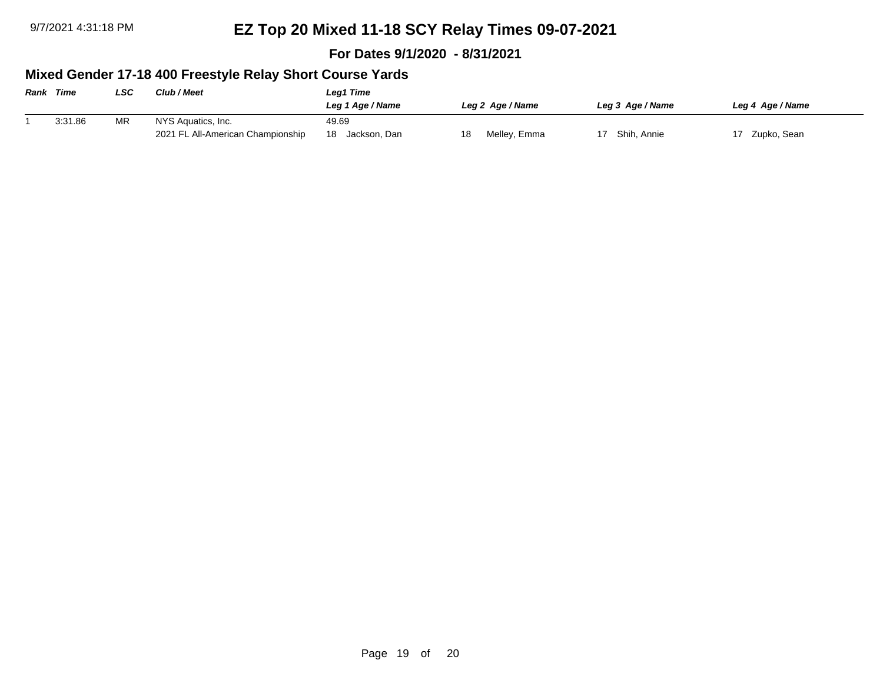**For Dates 9/1/2020 - 8/31/2021**

## **Mixed Gender 17-18 400 Freestyle Relay Short Course Yards**

| <b>Rank Time</b> |         | LSC       | <b>Club / Meet</b>                | Leg1 Time          |                    |                  |                  |  |  |
|------------------|---------|-----------|-----------------------------------|--------------------|--------------------|------------------|------------------|--|--|
|                  |         |           |                                   | Leg 1 Age / Name   | Leg 2 Age / Name   | Leg 3 Age / Name | Leg 4 Age / Name |  |  |
|                  | 3:31.86 | <b>MR</b> | NYS Aquatics, Inc.                | 49.69              |                    |                  |                  |  |  |
|                  |         |           | 2021 FL All-American Championship | 18<br>Jackson, Dan | Melley, Emma<br>18 | Shih, Annie      | Zupko, Sean      |  |  |